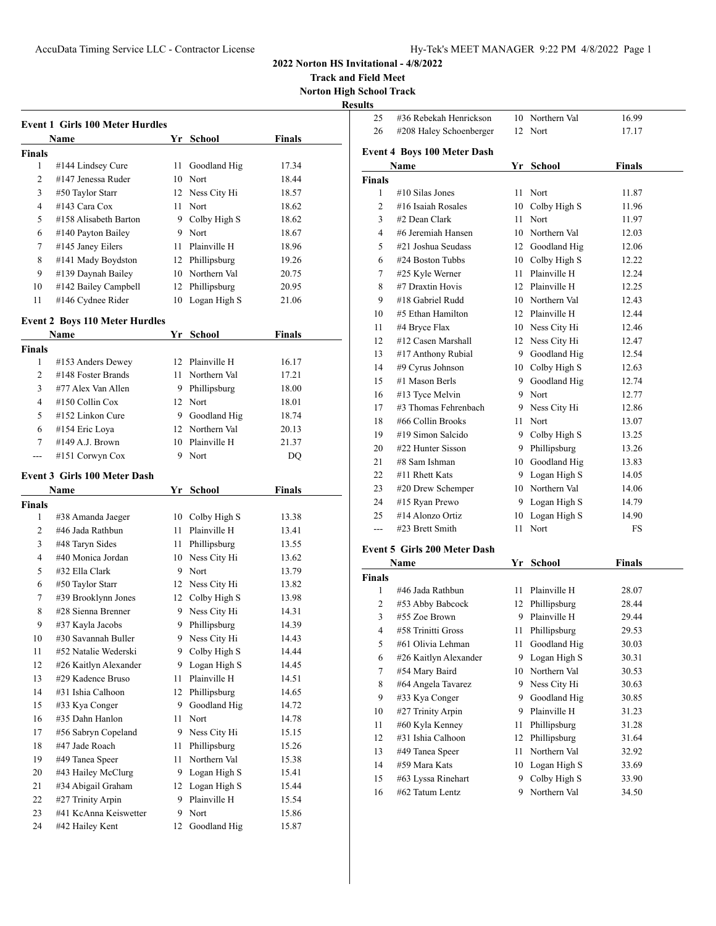**Track and Field Meet Norton High School Track**

**Results**

|          | <b>Event 1 Girls 100 Meter Hurdles</b>   |      |                      |               |  |
|----------|------------------------------------------|------|----------------------|---------------|--|
|          | Name                                     |      | Yr School            | <b>Finals</b> |  |
| Finals   |                                          |      |                      |               |  |
| 1        | #144 Lindsey Cure                        | 11   | Goodland Hig         | 17.34         |  |
| 2        | #147 Jenessa Ruder                       | 10   | Nort                 | 18.44         |  |
| 3        | #50 Taylor Starr                         |      | 12 Ness City Hi      | 18.57         |  |
| 4        | #143 Cara Cox                            | 11   | Nort                 | 18.62         |  |
| 5        | #158 Alisabeth Barton                    | 9.   | Colby High S         | 18.62         |  |
| 6        | #140 Payton Bailey                       |      | 9 Nort               | 18.67         |  |
| 7        | #145 Janey Eilers                        | 11   | Plainville H         | 18.96         |  |
| 8        | #141 Mady Boydston                       |      | 12 Phillipsburg      | 19.26         |  |
| 9        | #139 Daynah Bailey                       |      | 10 Northern Val      | 20.75         |  |
| 10       | #142 Bailey Campbell                     | 12   | Phillipsburg         | 20.95         |  |
| 11       | #146 Cydnee Rider                        | 10   | Logan High S         | 21.06         |  |
|          |                                          |      |                      |               |  |
|          | <b>Event 2 Boys 110 Meter Hurdles</b>    |      |                      |               |  |
|          | Name                                     |      | Yr School            | Finals        |  |
| Finals   |                                          |      |                      |               |  |
| 1        | #153 Anders Dewey                        | 12   | Plainville H         | 16.17         |  |
| 2        | #148 Foster Brands                       | 11   | Northern Val         | 17.21         |  |
| 3        | #77 Alex Van Allen                       |      | 9 Phillipsburg       | 18.00         |  |
| 4        | #150 Collin Cox                          |      | 12 Nort              | 18.01         |  |
| 5        | #152 Linkon Cure                         |      | 9 Goodland Hig       | 18.74         |  |
| 6        | #154 Eric Loya                           |      | 12 Northern Val      | 20.13         |  |
| 7        | #149 A.J. Brown                          | 10   | Plainville H         | 21.37         |  |
| $---$    | #151 Corwyn Cox                          | 9    | Nort                 | DQ            |  |
|          | <b>Event 3 Girls 100 Meter Dash</b>      |      |                      |               |  |
|          | Name                                     |      | Yr School            | Finals        |  |
| Finals   |                                          |      |                      |               |  |
| 1        | #38 Amanda Jaeger                        |      | 10 Colby High S      | 13.38         |  |
| 2        |                                          |      |                      |               |  |
|          | #46 Jada Rathbun                         | 11   | Plainville H         | 13.41         |  |
| 3        | #48 Taryn Sides                          | 11 - | Phillipsburg         | 13.55         |  |
| 4        | #40 Monica Jordan                        |      | 10 Ness City Hi      | 13.62         |  |
| 5        | #32 Ella Clark                           | 9.   | Nort                 | 13.79         |  |
| 6        | #50 Taylor Starr                         |      | 12 Ness City Hi      | 13.82         |  |
| 7        | #39 Brooklynn Jones                      | 12   | Colby High S         | 13.98         |  |
| 8        | #28 Sienna Brenner                       | 9    | Ness City Hi         | 14.31         |  |
| 9        | #37 Kayla Jacobs                         | 9    | Phillipsburg         | 14.39         |  |
| 10       | #30 Savannah Buller                      | 9    | Ness City Hi         | 14.43         |  |
| 11       | #52 Natalie Wederski                     | 9    | Colby High S         | 14.44         |  |
| 12       | #26 Kaitlyn Alexander                    | 9.   | Logan High S         | 14.45         |  |
| 13       | #29 Kadence Bruso                        | 11   | Plainville H         | 14.51         |  |
| 14       | #31 Ishia Calhoon                        | 12   | Phillipsburg         | 14.65         |  |
| 15       | #33 Kya Conger                           | 9    | Goodland Hig         | 14.72         |  |
| 16       | #35 Dahn Hanlon                          | 11   | Nort                 | 14.78         |  |
| 17       | #56 Sabryn Copeland                      | 9    | Ness City Hi         | 15.15         |  |
| 18       | #47 Jade Roach                           | 11   | Phillipsburg         | 15.26         |  |
| 19       | #49 Tanea Speer                          | 11   | Northern Val         | 15.38         |  |
| 20       | #43 Hailey McClurg                       | 9.   | Logan High S         | 15.41         |  |
| 21       | #34 Abigail Graham                       | 12   | Logan High S         | 15.44         |  |
| 22       | #27 Trinity Arpin                        | 9    | Plainville H         | 15.54         |  |
| 23<br>24 | #41 KcAnna Keiswetter<br>#42 Hailey Kent | 9    | Nort<br>Goodland Hig | 15.86         |  |

| 25             | #36 Rebekah Henrickson              |      | 10 Northern Val | 16.99         |
|----------------|-------------------------------------|------|-----------------|---------------|
| 26             | #208 Haley Schoenberger             | 12   | Nort            | 17.17         |
|                | <b>Event 4 Boys 100 Meter Dash</b>  |      |                 |               |
|                | Name                                |      | Yr School       | <b>Finals</b> |
| <b>Finals</b>  |                                     |      |                 |               |
| 1              | #10 Silas Jones                     | 11   | Nort            | 11.87         |
| $\overline{c}$ | #16 Isaiah Rosales                  |      | 10 Colby High S | 11.96         |
| 3              | #2 Dean Clark                       | 11 - | Nort            | 11.97         |
| 4              | #6 Jeremiah Hansen                  |      | 10 Northern Val | 12.03         |
| 5              | #21 Joshua Seudass                  |      | 12 Goodland Hig | 12.06         |
| 6              | #24 Boston Tubbs                    |      | 10 Colby High S | 12.22         |
| 7              | #25 Kyle Werner                     |      | 11 Plainville H | 12.24         |
| 8              | #7 Draxtin Hovis                    |      | 12 Plainville H | 12.25         |
| 9              | #18 Gabriel Rudd                    |      | 10 Northern Val | 12.43         |
| 10             | #5 Ethan Hamilton                   |      | 12 Plainville H | 12.44         |
| 11             | #4 Bryce Flax                       |      | 10 Ness City Hi | 12.46         |
| 12             | #12 Casen Marshall                  |      | 12 Ness City Hi | 12.47         |
| 13             | #17 Anthony Rubial                  |      | 9 Goodland Hig  | 12.54         |
| 14             | #9 Cyrus Johnson                    |      | 10 Colby High S | 12.63         |
| 15             | #1 Mason Berls                      |      | 9 Goodland Hig  | 12.74         |
| 16             | #13 Tyce Melvin                     |      | 9 Nort          | 12.77         |
| 17             | #3 Thomas Fehrenbach                |      | 9 Ness City Hi  | 12.86         |
| 18             | #66 Collin Brooks                   | 11.  | Nort            | 13.07         |
| 19             | #19 Simon Salcido                   | 9.   | Colby High S    | 13.25         |
| 20             | #22 Hunter Sisson                   | 9.   | Phillipsburg    | 13.26         |
| 21             | #8 Sam Ishman                       |      | 10 Goodland Hig | 13.83         |
| 22             | #11 Rhett Kats                      |      | 9 Logan High S  | 14.05         |
| 23             | #20 Drew Schemper                   |      | 10 Northern Val | 14.06         |
| 24             | #15 Ryan Prewo                      |      | 9 Logan High S  | 14.79         |
| 25             | #14 Alonzo Ortiz                    | 10   | Logan High S    | 14.90         |
| ---            | #23 Brett Smith                     | 11   | Nort            | FS            |
|                | <b>Event 5 Girls 200 Meter Dash</b> |      |                 |               |
|                | Name                                | Yr   | <b>School</b>   | <b>Finals</b> |
|                |                                     |      |                 |               |

| Name   |                       | Υr | School       | Finals |  |
|--------|-----------------------|----|--------------|--------|--|
| Finals |                       |    |              |        |  |
| 1      | #46 Jada Rathbun      | 11 | Plainville H | 28.07  |  |
| 2      | #53 Abby Babcock      | 12 | Phillipsburg | 28.44  |  |
| 3      | $#55$ Zoe Brown       | 9  | Plainville H | 29.44  |  |
| 4      | #58 Trinitti Gross    | 11 | Phillipsburg | 29.53  |  |
| 5      | #61 Olivia Lehman     | 11 | Goodland Hig | 30.03  |  |
| 6      | #26 Kaitlyn Alexander | 9  | Logan High S | 30.31  |  |
| 7      | #54 Mary Baird        | 10 | Northern Val | 30.53  |  |
| 8      | #64 Angela Tavarez    | 9. | Ness City Hi | 30.63  |  |
| 9      | #33 Kya Conger        | 9  | Goodland Hig | 30.85  |  |
| 10     | #27 Trinity Arpin     | 9  | Plainville H | 31.23  |  |
| 11     | #60 Kyla Kenney       | 11 | Phillipsburg | 31.28  |  |
| 12     | #31 Ishia Calhoon     | 12 | Phillipsburg | 31.64  |  |
| 13     | #49 Tanea Speer       | 11 | Northern Val | 32.92  |  |
| 14     | #59 Mara Kats         | 10 | Logan High S | 33.69  |  |
| 15     | #63 Lyssa Rinehart    | 9  | Colby High S | 33.90  |  |
| 16     | #62 Tatum Lentz       | 9  | Northern Val | 34.50  |  |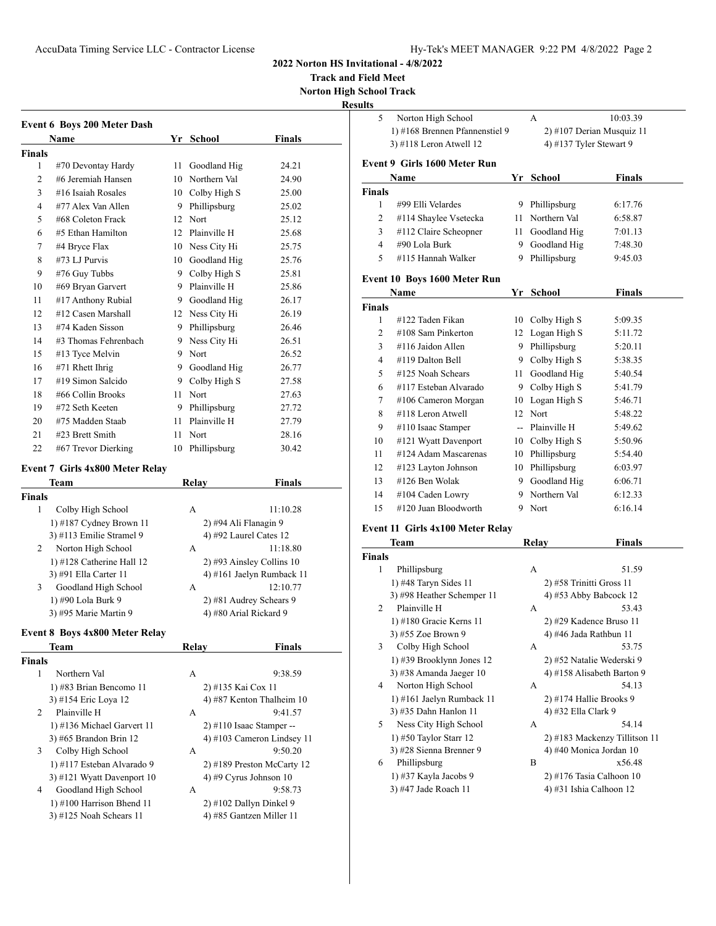**Track and Field Meet**

**Norton High School Track**

**Resu** 

|               | <b>Event 6 Boys 200 Meter Dash</b>     |    |                            |                            |
|---------------|----------------------------------------|----|----------------------------|----------------------------|
|               | <b>Name</b>                            |    | Yr School                  | Finals                     |
| <b>Finals</b> |                                        |    |                            |                            |
| 1             | #70 Devontay Hardy                     | 11 | Goodland Hig               | 24.21                      |
| 2             | #6 Jeremiah Hansen                     |    | 10 Northern Val            | 24.90                      |
| 3             | $#16$ Isaiah Rosales                   |    | 10 Colby High S            | 25.00                      |
| 4             | #77 Alex Van Allen                     |    | 9 Phillipsburg             | 25.02                      |
| 5             | #68 Coleton Frack                      |    | 12 Nort                    | 25.12                      |
| 6             | #5 Ethan Hamilton                      |    | 12 Plainville H            | 25.68                      |
| 7             | #4 Bryce Flax                          |    | 10 Ness City Hi            | 25.75                      |
| 8             | #73 LJ Purvis                          |    | 10 Goodland Hig            | 25.76                      |
| 9             | #76 Guy Tubbs                          |    | 9 Colby High S             | 25.81                      |
| 10            | #69 Bryan Garvert                      |    | 9 Plainville H             | 25.86                      |
| 11            | #17 Anthony Rubial                     |    | 9 Goodland Hig             | 26.17                      |
| 12            | #12 Casen Marshall                     |    | 12 Ness City Hi            | 26.19                      |
| 13            | #74 Kaden Sisson                       |    | 9 Phillipsburg             | 26.46                      |
| 14            | #3 Thomas Fehrenbach                   |    | 9 Ness City Hi             | 26.51                      |
| 15            | #13 Tyce Melvin                        |    | 9 Nort                     | 26.52                      |
| 16            | $#71$ Rhett Ihrig                      |    | 9 Goodland Hig             | 26.77                      |
| 17            | #19 Simon Salcido                      |    | 9 Colby High S             | 27.58                      |
| 18            | #66 Collin Brooks                      |    | 11 Nort                    | 27.63                      |
| 19            | #72 Seth Keeten                        |    | 9 Phillipsburg             | 27.72                      |
| 20            | #75 Madden Staab                       |    | 11 Plainville H            | 27.79                      |
| 21            | #23 Brett Smith                        | 11 | Nort                       | 28.16                      |
| 22            | #67 Trevor Dierking                    |    | 10 Phillipsburg            | 30.42                      |
|               | <b>Event 7 Girls 4x800 Meter Relay</b> |    |                            |                            |
|               | Team                                   |    | <b>Relay</b>               | Finals                     |
| Finals        |                                        |    |                            |                            |
| 1             | Colby High School                      |    | А                          | 11:10.28                   |
|               | 1) #187 Cydney Brown 11                |    | 2) #94 Ali Flanagin 9      |                            |
|               | 3) #113 Emilie Stramel 9               |    | 4) #92 Laurel Cates 12     |                            |
| 2             | Norton High School                     |    | А                          | 11:18.80                   |
|               | 1) #128 Catherine Hall 12              |    | 2) #93 Ainsley Collins 10  |                            |
|               | 3) #91 Ella Carter 11                  |    |                            | 4) #161 Jaelyn Rumback 11  |
| 3             | Goodland High School                   |    | А                          | 12:10.77                   |
|               | 1) #90 Lola Burk 9                     |    | 2) #81 Audrey Schears 9    |                            |
|               | 3) #95 Marie Martin 9                  |    | 4) #80 Arial Rickard 9     |                            |
|               | Event 8 Boys 4x800 Meter Relay         |    |                            |                            |
|               | Team                                   |    | Relay                      | <b>Finals</b>              |
| <b>Finals</b> |                                        |    |                            |                            |
| 1             | Northern Val                           |    | А                          | 9:38.59                    |
|               | 1) #83 Brian Bencomo 11                |    | 2) #135 Kai Cox 11         |                            |
|               | 3) #154 Eric Loya 12                   |    |                            | 4) #87 Kenton Thalheim 10  |
| 2             | Plainville H                           |    | А                          | 9:41.57                    |
|               | 1) #136 Michael Garvert 11             |    | $2)$ #110 Isaac Stamper -- |                            |
|               | 3) #65 Brandon Brin 12                 |    |                            | 4) #103 Cameron Lindsey 11 |
| 3             | Colby High School                      |    | А                          | 9:50.20                    |
|               | 1) #117 Esteban Alvarado 9             |    |                            | 2) #189 Preston McCarty 12 |
|               | 3) #121 Wyatt Davenport 10             |    | 4) #9 Cyrus Johnson 10     |                            |
| 4             | Goodland High School                   |    | А                          | 9:58.73                    |
|               | 1) #100 Harrison Bhend 11              |    | 2) #102 Dallyn Dinkel 9    |                            |
|               | 3) #125 Noah Schears 11                |    | 4) #85 Gantzen Miller 11   |                            |
|               |                                        |    |                            |                            |

| 5              | Norton High School                                  |      | А                                                  | 10:03.39                                |
|----------------|-----------------------------------------------------|------|----------------------------------------------------|-----------------------------------------|
|                | 1) #168 Brennen Pfannenstiel 9                      |      | 2) #107 Derian Musquiz 11                          |                                         |
|                | 3) #118 Leron Atwell 12                             |      | 4) #137 Tyler Stewart 9                            |                                         |
|                | Event 9 Girls 1600 Meter Run                        |      |                                                    |                                         |
|                | Name                                                |      | Yr School                                          | <b>Finals</b>                           |
| Finals         |                                                     |      |                                                    |                                         |
| 1              | #99 Elli Velardes                                   | 9.   | Phillipsburg                                       | 6:17.76                                 |
| 2              | #114 Shaylee Vsetecka                               |      | 11 Northern Val                                    | 6:58.87                                 |
| 3              | #112 Claire Scheopner                               | 11 - | Goodland Hig                                       | 7:01.13                                 |
| 4              | #90 Lola Burk                                       | 9.   | Goodland Hig                                       | 7:48.30                                 |
| 5              | #115 Hannah Walker                                  | 9    | Phillipsburg                                       | 9:45.03                                 |
|                | Event 10 Boys 1600 Meter Run                        |      |                                                    |                                         |
|                | Name                                                | Yr   | School                                             | Finals                                  |
| Finals<br>1    | #122 Taden Fikan                                    |      |                                                    |                                         |
|                |                                                     |      | 10 Colby High S                                    | 5:09.35                                 |
| $\overline{c}$ | #108 Sam Pinkerton                                  |      | 12 Logan High S                                    | 5:11.72                                 |
| 3              | #116 Jaidon Allen                                   |      | 9 Phillipsburg                                     | 5:20.11                                 |
| 4              | #119 Dalton Bell                                    |      | 9 Colby High S                                     | 5:38.35                                 |
| 5              | #125 Noah Schears                                   |      | 11 Goodland Hig                                    | 5:40.54                                 |
| 6              | #117 Esteban Alvarado                               |      | 9 Colby High S                                     | 5:41.79                                 |
| 7              | #106 Cameron Morgan                                 |      | 10 Logan High S                                    | 5:46.71                                 |
| 8              | #118 Leron Atwell                                   | 12   | Nort                                               | 5:48.22                                 |
| 9              | #110 Isaac Stamper                                  |      | -- Plainville H                                    | 5:49.62                                 |
| 10             | #121 Wyatt Davenport                                |      | 10 Colby High S                                    | 5:50.96                                 |
| 11             | #124 Adam Mascarenas                                |      | 10 Phillipsburg                                    | 5:54.40                                 |
| 12             | #123 Layton Johnson                                 |      | 10 Phillipsburg                                    | 6:03.97                                 |
| 13             | #126 Ben Wolak                                      |      | 9 Goodland Hig                                     | 6:06.71                                 |
| 14             | #104 Caden Lowry                                    |      | 9 Northern Val                                     | 6:12.33                                 |
| 15             | #120 Juan Bloodworth                                |      | 9 Nort                                             | 6:16.14                                 |
|                | Event 11 Girls 4x100 Meter Relay                    |      |                                                    |                                         |
|                | Team                                                |      | Relay                                              | <b>Finals</b>                           |
| Finals         |                                                     |      |                                                    |                                         |
| 1              | Phillipsburg                                        |      | А                                                  | 51.59                                   |
|                | 1) #48 Taryn Sides 11<br>3) #98 Heather Schemper 11 |      | 2) #58 Trinitti Gross 11<br>4) #53 Abby Babcock 12 |                                         |
| 2              | Plainville H                                        |      | А                                                  | 53.43                                   |
|                | 1) #180 Gracie Kerns 11                             |      | 2) #29 Kadence Bruso 11                            |                                         |
|                | 3) #55 Zoe Brown 9                                  |      | 4) #46 Jada Rathbun 11                             |                                         |
|                | Colby High School                                   |      | А                                                  | 53.75                                   |
|                | 1) #39 Brooklynn Jones 12                           |      | 2) #52 Natalie Wederski 9                          |                                         |
| 3              |                                                     |      |                                                    | 4) #158 Alisabeth Barton 9              |
|                |                                                     |      |                                                    |                                         |
| 4              | 3) #38 Amanda Jaeger 10<br>Norton High School       |      | А                                                  | 54.13                                   |
|                |                                                     |      | 2) #174 Hallie Brooks 9                            |                                         |
|                | 1) #161 Jaelyn Rumback 11<br>3) #35 Dahn Hanlon 11  |      | 4) #32 Ella Clark 9                                |                                         |
| 5              | Ness City High School                               |      | А                                                  | 54.14                                   |
|                | 1) #50 Taylor Starr 12                              |      |                                                    |                                         |
|                | 3) #28 Sienna Brenner 9                             |      | 4) #40 Monica Jordan 10                            |                                         |
| 6              | Phillipsburg                                        |      | B                                                  | 2) #183 Mackenzy Tillitson 11<br>x56.48 |
|                | 1) #37 Kayla Jacobs 9                               |      | 2) #176 Tasia Calhoon 10                           |                                         |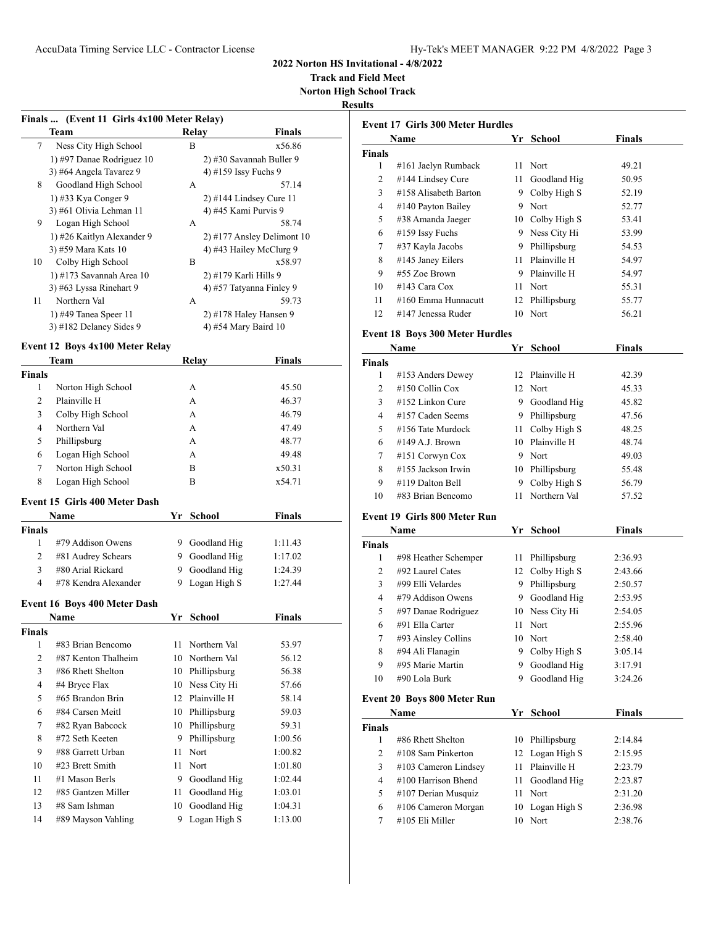**Track and Field Meet Norton High School Track**

**Results**

|                | Finals  (Event 11 Girls 4x100 Meter Relay) |    |                           |                            |
|----------------|--------------------------------------------|----|---------------------------|----------------------------|
|                | Team                                       |    | Relay                     | Finals                     |
| 7              | Ness City High School                      |    | B                         | x56.86                     |
|                | 1) #97 Danae Rodriguez 10                  |    |                           | 2) #30 Savannah Buller 9   |
|                | 3) #64 Angela Tavarez 9                    |    | 4) #159 Issy Fuchs 9      |                            |
| 8              | Goodland High School                       |    | А                         | 57.14                      |
|                | 1) #33 Kya Conger 9                        |    | $2)$ #144 Lindsey Cure 11 |                            |
|                | 3) #61 Olivia Lehman 11                    |    | 4) #45 Kami Purvis 9      |                            |
| 9              | Logan High School                          |    | А                         | 58.74                      |
|                | 1) #26 Kaitlyn Alexander 9                 |    |                           | 2) #177 Ansley Delimont 10 |
|                | 3) #59 Mara Kats 10                        |    | 4) #43 Hailey McClurg 9   |                            |
| 10             | Colby High School                          |    | B                         | x58.97                     |
|                | 1) #173 Savannah Area 10                   |    | 2) #179 Karli Hills 9     |                            |
|                | 3) #63 Lyssa Rinehart 9                    |    | 4) #57 Tatyanna Finley 9  |                            |
| 11             | Northern Val                               |    | А                         | 59.73                      |
|                | 1) #49 Tanea Speer $11$                    |    | 2) #178 Haley Hansen 9    |                            |
|                | 3) #182 Delaney Sides 9                    |    | 4) #54 Mary Baird 10      |                            |
|                | <b>Event 12 Boys 4x100 Meter Relay</b>     |    |                           |                            |
|                | Team                                       |    | Relay                     | Finals                     |
| <b>Finals</b>  |                                            |    |                           |                            |
| 1              | Norton High School                         |    | A                         | 45.50                      |
| 2              | Plainville H                               |    | A                         | 46.37                      |
| 3              | Colby High School                          |    | A                         | 46.79                      |
| 4              | Northern Val                               |    | A                         | 47.49                      |
| 5              | Phillipsburg                               |    | А                         | 48.77                      |
| 6              | Logan High School                          |    | A                         | 49.48                      |
| 7              | Norton High School                         |    | B                         | x50.31                     |
| 8              | Logan High School                          |    | В                         | x54.71                     |
|                |                                            |    |                           |                            |
|                | Event 15 Girls 400 Meter Dash              |    |                           |                            |
|                | Name                                       |    | Yr School                 | <b>Finals</b>              |
| Finals         |                                            |    |                           |                            |
| $\mathbf{1}$   | #79 Addison Owens                          |    | 9 Goodland Hig            | 1:11.43                    |
| $\overline{2}$ | #81 Audrey Schears                         |    | 9 Goodland Hig            | 1:17.02                    |
| 3              | #80 Arial Rickard                          | 9. | Goodland Hig              | 1:24.39                    |
| 4              | #78 Kendra Alexander                       | 9. | Logan High S              | 1:27.44                    |
|                | Event 16 Boys 400 Meter Dash               |    |                           |                            |
|                | Name                                       |    | Yr School                 | Finals                     |
| Finals         |                                            |    |                           |                            |
| 1              | #83 Brian Bencomo                          | 11 | Northern Val              | 53.97                      |
| 2              | #87 Kenton Thalheim                        |    | 10 Northern Val           | 56.12                      |
| 3              | #86 Rhett Shelton                          |    | 10 Phillipsburg           | 56.38                      |
| 4              | #4 Bryce Flax                              |    | 10 Ness City Hi           | 57.66                      |
| 5              | #65 Brandon Brin                           |    | 12 Plainville H           | 58.14                      |
| 6              | #84 Carsen Meitl                           | 10 | Phillipsburg              | 59.03                      |
| 7              | #82 Ryan Babcock                           | 10 | Phillipsburg              | 59.31                      |
| 8              | #72 Seth Keeten                            | 9  | Phillipsburg              | 1:00.56                    |
| 9              | #88 Garrett Urban                          | 11 | Nort                      | 1:00.82                    |
| 10             | #23 Brett Smith                            | 11 | Nort                      | 1:01.80                    |
| 11             | #1 Mason Berls                             |    | 9 Goodland Hig            | 1:02.44                    |
| 12             | #85 Gantzen Miller                         | 11 | Goodland Hig              | 1:03.01                    |
| 13             | #8 Sam Ishman                              | 10 | Goodland Hig              | 1:04.31                    |
| 14             | #89 Mayson Vahling                         | 9  | Logan High S              | 1:13.00                    |
|                |                                            |    |                           |                            |

| <b>Event 17 Girls 300 Meter Hurdles</b> |                       |     |                 |               |  |  |
|-----------------------------------------|-----------------------|-----|-----------------|---------------|--|--|
|                                         | Name                  | Yr. | School          | <b>Finals</b> |  |  |
| <b>Finals</b>                           |                       |     |                 |               |  |  |
| 1                                       | #161 Jaelyn Rumback   | 11  | Nort            | 49.21         |  |  |
| 2                                       | #144 Lindsey Cure     | 11  | Goodland Hig    | 50.95         |  |  |
| 3                                       | #158 Alisabeth Barton | 9   | Colby High S    | 52.19         |  |  |
| 4                                       | #140 Payton Bailey    | 9   | <b>Nort</b>     | 52.77         |  |  |
| 5                                       | #38 Amanda Jaeger     |     | 10 Colby High S | 53.41         |  |  |
| 6                                       | #159 Issy Fuchs       | 9   | Ness City Hi    | 53.99         |  |  |
| 7                                       | #37 Kayla Jacobs      | 9   | Phillipsburg    | 54.53         |  |  |
| 8                                       | #145 Janey Eilers     | 11  | Plainville H    | 54.97         |  |  |
| 9                                       | $#55$ Zoe Brown       | 9   | Plainville H    | 54.97         |  |  |
| 10                                      | #143 Cara Cox         | 11  | Nort            | 55.31         |  |  |
| 11                                      | #160 Emma Hunnacutt   | 12  | Phillipsburg    | 55.77         |  |  |
| 12                                      | #147 Jenessa Ruder    | 10  | Nort            | 56.21         |  |  |

### **Event 18 Boys 300 Meter Hurdles**

| Name          |                       | Yr | School          | <b>Finals</b> |  |
|---------------|-----------------------|----|-----------------|---------------|--|
| <b>Finals</b> |                       |    |                 |               |  |
| 1             | #153 Anders Dewey     |    | 12 Plainville H | 42.39         |  |
| 2             | $#150$ Collin Cox     |    | 12 Nort         | 45.33         |  |
| 3             | $#152$ Linkon Cure    | 9  | Goodland Hig    | 45.82         |  |
| 4             | #157 Caden Seems      | 9  | Phillipsburg    | 47.56         |  |
| 5             | #156 Tate Murdock     | 11 | Colby High S    | 48.25         |  |
| 6             | $\#149$ A.J. Brown    |    | 10 Plainville H | 48.74         |  |
| 7             | $#151$ Corwyn Cox     | 9. | Nort            | 49.03         |  |
| 8             | $\#155$ Jackson Irwin | 10 | Phillipsburg    | 55.48         |  |
| 9             | #119 Dalton Bell      | 9  | Colby High S    | 56.79         |  |
| 10            | $\#83$ Brian Bencomo  | 11 | Northern Val    | 57.52         |  |

### **Event 19 Girls 800 Meter Run**

| Name          |                      | Yr | School          | <b>Finals</b> |  |
|---------------|----------------------|----|-----------------|---------------|--|
| <b>Finals</b> |                      |    |                 |               |  |
| 1             | #98 Heather Schemper | 11 | Phillipsburg    | 2:36.93       |  |
| 2             | #92 Laurel Cates     |    | 12 Colby High S | 2:43.66       |  |
| 3             | #99 Elli Velardes    | 9  | Phillipsburg    | 2:50.57       |  |
| 4             | #79 Addison Owens    | 9  | Goodland Hig    | 2:53.95       |  |
| 5             | #97 Danae Rodriguez  |    | 10 Ness City Hi | 2:54.05       |  |
| 6             | #91 Ella Carter      | 11 | Nort            | 2:55.96       |  |
| 7             | #93 Ainsley Collins  |    | 10 Nort         | 2:58.40       |  |
| 8             | #94 Ali Flanagin     | 9  | Colby High S    | 3:05.14       |  |
| 9             | #95 Marie Martin     | 9  | Goodland Hig    | 3:17.91       |  |
| 10            | #90 Lola Burk        | 9  | Goodland Hig    | 3:24.26       |  |

### **Event 20 Boys 800 Meter Run**

| Name          |                        |    | Yr School       | <b>Finals</b> |  |
|---------------|------------------------|----|-----------------|---------------|--|
| <b>Finals</b> |                        |    |                 |               |  |
|               | #86 Rhett Shelton      |    | 10 Phillipsburg | 2:14.84       |  |
| 2             | $\#108$ Sam Pinkerton  |    | 12 Logan High S | 2:15.95       |  |
| 3             | $#103$ Cameron Lindsey |    | Plainville H    | 2:23.79       |  |
| 4             | #100 Harrison Bhend    | 11 | Goodland Hig    | 2:23.87       |  |
| 5             | $#107$ Derian Musquiz  | 11 | Nort            | 2:31.20       |  |
| 6             | #106 Cameron Morgan    |    | 10 Logan High S | 2:36.98       |  |
|               | #105 Eli Miller        |    | Nort            | 2:38.76       |  |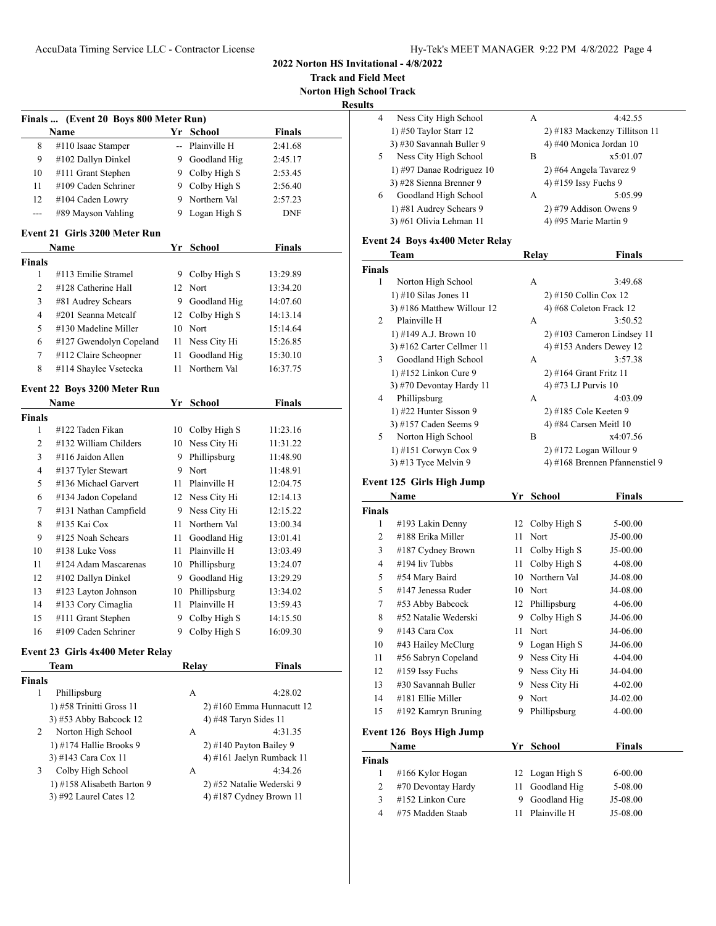**Track and Field Meet Norton High School Track**

**Results**

|                    | Name                                 |      | Yr School                  | <b>Finals</b>             |
|--------------------|--------------------------------------|------|----------------------------|---------------------------|
| 8                  | #110 Isaac Stamper                   |      | -- Plainville H            | 2:41.68                   |
| 9                  | #102 Dallyn Dinkel                   |      | 9 Goodland Hig             | 2:45.17                   |
| 10                 | #111 Grant Stephen                   |      | 9 Colby High S             | 2:53.45                   |
| 11                 | #109 Caden Schriner                  |      | 9 Colby High S             | 2:56.40                   |
| 12                 | #104 Caden Lowry                     |      | 9 Northern Val             | 2:57.23                   |
| ---                | #89 Mayson Vahling                   | 9.   | Logan High S               | DNF                       |
|                    | <b>Event 21 Girls 3200 Meter Run</b> |      |                            |                           |
|                    | Name                                 |      | Yr School                  | <b>Finals</b>             |
| <b>Finals</b>      |                                      |      |                            |                           |
| 1                  | #113 Emilie Stramel                  |      | 9 Colby High S             | 13:29.89                  |
| 2                  | #128 Catherine Hall                  |      | 12 Nort                    | 13:34.20                  |
| 3                  | #81 Audrey Schears                   |      | 9 Goodland Hig             | 14:07.60                  |
| $\overline{4}$     | #201 Seanna Metcalf                  | 12   | Colby High S               | 14:13.14                  |
| 5                  | #130 Madeline Miller                 |      | 10 Nort                    | 15:14.64                  |
| 6                  | #127 Gwendolyn Copeland              | 11   | Ness City Hi               | 15:26.85                  |
| 7                  | #112 Claire Scheopner                | 11   | Goodland Hig               | 15:30.10                  |
| 8                  | #114 Shaylee Vsetecka                | 11   | Northern Val               | 16:37.75                  |
|                    | Event 22 Boys 3200 Meter Run         |      |                            |                           |
|                    | Name                                 |      | Yr School                  | <b>Finals</b>             |
| <b>Finals</b>      |                                      |      |                            |                           |
| 1                  | #122 Taden Fikan                     | 10   | Colby High S               | 11:23.16                  |
| 2                  | #132 William Childers                | 10   | Ness City Hi               | 11:31.22                  |
| 3                  | #116 Jaidon Allen                    | 9.   | Phillipsburg               | 11:48.90                  |
| 4                  | #137 Tyler Stewart                   |      | 9 Nort<br>11:48.91         |                           |
| 5                  | #136 Michael Garvert                 |      | 11 Plainville H            | 12:04.75                  |
| 6                  | #134 Jadon Copeland                  |      | 12 Ness City Hi            | 12:14.13                  |
| 7                  | #131 Nathan Campfield                |      | 9 Ness City Hi             | 12:15.22                  |
| 8                  | #135 Kai Cox                         | 11 - | Northern Val               | 13:00.34                  |
| 9                  | #125 Noah Schears                    | 11   | Goodland Hig               | 13:01.41                  |
| 10                 | #138 Luke Voss                       | 11   | Plainville H               | 13:03.49                  |
| 11                 | #124 Adam Mascarenas                 |      | 10 Phillipsburg            | 13:24.07                  |
| 12                 | #102 Dallyn Dinkel                   | 9.   | Goodland Hig               | 13:29.29                  |
| 13                 | #123 Layton Johnson                  | 10   | Phillipsburg               | 13:34.02                  |
| 14                 | #133 Cory Cimaglia                   | 11   | Plainville H               | 13:59.43                  |
| 15                 | #111 Grant Stephen                   | 9    | Colby High S               | 14:15.50                  |
| 16                 | #109 Caden Schriner                  |      | 9 Colby High S             | 16:09.30                  |
|                    | Event 23 Girls 4x400 Meter Relay     |      |                            |                           |
|                    | Team                                 |      | <b>Relay</b>               | Finals                    |
| <b>Finals</b><br>1 | Phillipsburg                         |      | А                          | 4:28.02                   |
|                    | 1) #58 Trinitti Gross 11             |      |                            | 2) #160 Emma Hunnacutt 12 |
|                    | 3) #53 Abby Babcock 12               |      |                            |                           |
| 2                  | Norton High School                   |      | 4) #48 Taryn Sides 11<br>А | 4:31.35                   |
|                    | 1) #174 Hallie Brooks 9              |      | 2) #140 Payton Bailey 9    |                           |
|                    | 3) #143 Cara Cox 11                  |      |                            | 4) #161 Jaelyn Rumback 11 |
| 3                  | Colby High School                    |      | A                          | 4:34.26                   |
|                    | 1) #158 Alisabeth Barton 9           |      | 2) #52 Natalie Wederski 9  |                           |
|                    |                                      |      | 4) #187 Cydney Brown 11    |                           |
|                    | 3) #92 Laurel Cates 12               |      |                            |                           |

| 4 | Ness City High School     | А | 4:42.55                       |
|---|---------------------------|---|-------------------------------|
|   | 1) $#50$ Taylor Starr 12  |   | 2) #183 Mackenzy Tillitson 11 |
|   | 3) #30 Savannah Buller 9  |   | 4) #40 Monica Jordan 10       |
|   | Ness City High School     | в | x5:01.07                      |
|   | 1) #97 Danae Rodriguez 10 |   | 2) #64 Angela Tavarez 9       |
|   | 3) #28 Sienna Brenner 9   |   | 4) #159 Issy Fuchs 9          |
| 6 | Goodland High School      | A | 5:05.99                       |
|   | 1) #81 Audrey Schears 9   |   | 2) #79 Addison Owens 9        |
|   | 3) #61 Olivia Lehman 11   |   | 4) #95 Marie Martin 9         |
|   |                           |   |                               |

### **Event 24 Boys 4x400 Meter Relay**

|               | Team                         | Relay | Finals                         |
|---------------|------------------------------|-------|--------------------------------|
| <b>Finals</b> |                              |       |                                |
| 1             | Norton High School           | A     | 3:49.68                        |
|               | $1)$ #10 Silas Jones 11      |       | 2) #150 Collin Cox 12          |
|               | $3)$ #186 Matthew Willour 12 |       | 4) #68 Coleton Frack 12        |
| 2             | Plainville H                 | A     | 3:50.52                        |
|               | 1) #149 A.J. Brown 10        |       | $2)$ #103 Cameron Lindsey 11   |
|               | $3)$ #162 Carter Cellmer 11  |       | 4) #153 Anders Dewey 12        |
| 3             | Goodland High School         | A     | 3:57.38                        |
|               | 1) #152 Linkon Cure 9        |       | $2)$ #164 Grant Fritz 11       |
|               | 3) #70 Devontay Hardy 11     |       | 4) #73 LJ Purvis 10            |
| 4             | Phillipsburg                 | A     | 4:03.09                        |
|               | 1) #22 Hunter Sisson 9       |       | 2) #185 Cole Keeten 9          |
|               | 3) #157 Caden Seems 9        |       | 4) #84 Carsen Meitl $10$       |
| 5.            | Norton High School           | B     | x4:07.56                       |
|               | 1) #151 Corwyn Cox 9         |       | $2)$ #172 Logan Willour 9      |
|               | $3)$ #13 Tyce Melvin 9       |       | 4) #168 Brennen Pfannenstiel 9 |

# **Event 125 Girls High Jump**

|                | Name                            |    | Yr School       | <b>Finals</b> |  |
|----------------|---------------------------------|----|-----------------|---------------|--|
| <b>Finals</b>  |                                 |    |                 |               |  |
| 1              | #193 Lakin Denny                |    | 12 Colby High S | 5-00.00       |  |
| $\overline{c}$ | #188 Erika Miller               | 11 | Nort            | $J5-00.00$    |  |
| 3              | #187 Cydney Brown               | 11 | Colby High S    | J5-00.00      |  |
| 4              | #194 liv Tubbs                  | 11 | Colby High S    | 4-08.00       |  |
| 5              | #54 Mary Baird                  | 10 | Northern Val    | J4-08.00      |  |
| 5              | #147 Jenessa Ruder              | 10 | Nort            | J4-08.00      |  |
| 7              | #53 Abby Babcock                | 12 | Phillipsburg    | $4 - 06.00$   |  |
| 8              | #52 Natalie Wederski            | 9  | Colby High S    | J4-06.00      |  |
| 9              | #143 Cara Cox                   | 11 | Nort            | J4-06.00      |  |
| 10             | #43 Hailey McClurg              | 9  | Logan High S    | J4-06.00      |  |
| 11             | #56 Sabryn Copeland             | 9  | Ness City Hi    | 4-04.00       |  |
| 12             | #159 Issy Fuchs                 | 9  | Ness City Hi    | J4-04.00      |  |
| 13             | #30 Savannah Buller             | 9  | Ness City Hi    | $4 - 02.00$   |  |
| 14             | #181 Ellie Miller               | 9  | Nort            | J4-02.00      |  |
| 15             | #192 Kamryn Bruning             | 9  | Phillipsburg    | $4 - 00.00$   |  |
|                | <b>Event 126 Boys High Jump</b> |    |                 |               |  |
|                | Name                            | Yr | <b>School</b>   | <b>Finals</b> |  |
| <b>Finals</b>  |                                 |    |                 |               |  |
| 1              | #166 Kylor Hogan                | 12 | Logan High S    | $6 - 00.00$   |  |
| 2              | #70 Devontay Hardy              | 11 | Goodland Hig    | 5-08.00       |  |
| 3              | #152 Linkon Cure                | 9  | Goodland Hig    | J5-08.00      |  |

4 #75 Madden Staab 11 Plainville H J5-08.00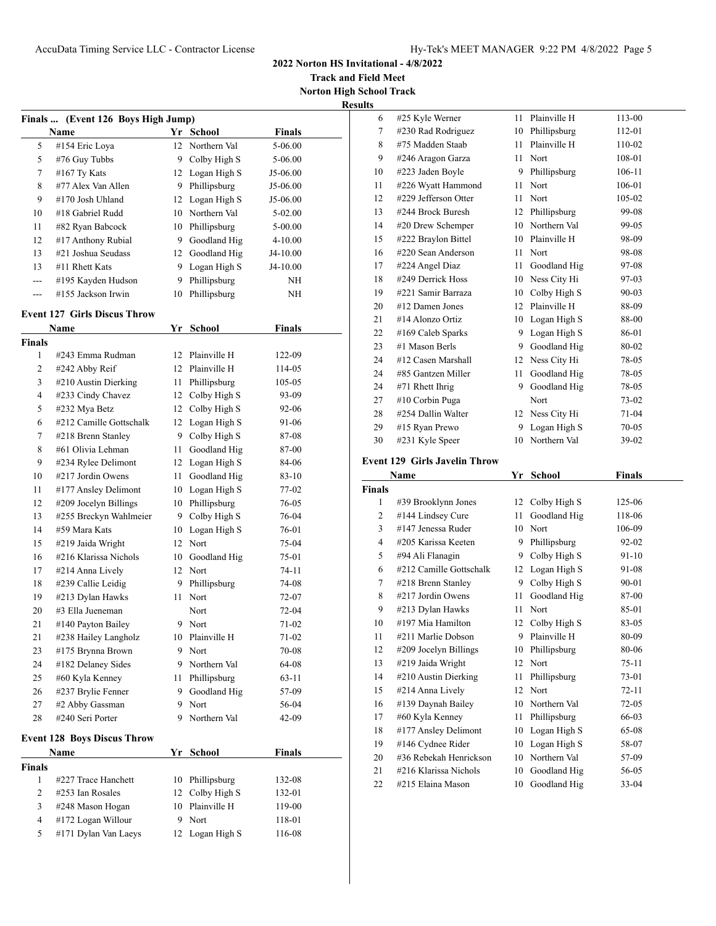**Track and Field Meet Norton High School Track**

**Results**

|               | Finals  (Event 126 Boys High Jump)         |      |                 |               |  |
|---------------|--------------------------------------------|------|-----------------|---------------|--|
|               | Name                                       |      | Yr School       | <b>Finals</b> |  |
| 5             | #154 Eric Loya                             |      | 12 Northern Val | 5-06.00       |  |
| 5             | #76 Guy Tubbs                              |      | 9 Colby High S  | 5-06.00       |  |
| 7             | $#167$ Ty Kats                             |      | 12 Logan High S | J5-06.00      |  |
| 8             | #77 Alex Van Allen                         |      | 9 Phillipsburg  | J5-06.00      |  |
| 9             | #170 Josh Uhland                           |      | 12 Logan High S | J5-06.00      |  |
| 10            | #18 Gabriel Rudd                           |      | 10 Northern Val | 5-02.00       |  |
| 11            | #82 Ryan Babcock                           |      | 10 Phillipsburg | 5-00.00       |  |
| 12            | #17 Anthony Rubial                         |      | 9 Goodland Hig  | 4-10.00       |  |
| 13            | #21 Joshua Seudass                         |      | 12 Goodland Hig | J4-10.00      |  |
| 13            | #11 Rhett Kats                             |      | 9 Logan High S  | J4-10.00      |  |
|               | #195 Kayden Hudson                         | 9    | Phillipsburg    | ΝH            |  |
| ---           | #155 Jackson Irwin                         | 10   | Phillipsburg    | ΝH            |  |
|               |                                            |      |                 |               |  |
|               | <b>Event 127 Girls Discus Throw</b>        |      |                 |               |  |
|               | Name                                       | Yr   | <b>School</b>   | <b>Finals</b> |  |
| <b>Finals</b> |                                            |      |                 |               |  |
| 1             | #243 Emma Rudman                           |      | 12 Plainville H | 122-09        |  |
| 2             | #242 Abby Reif                             |      | 12 Plainville H | 114-05        |  |
| 3             | #210 Austin Dierking                       | 11 - | Phillipsburg    | 105-05        |  |
| 4             | #233 Cindy Chavez                          |      | 12 Colby High S | 93-09         |  |
| 5             | #232 Mya Betz                              |      | 12 Colby High S | 92-06         |  |
| 6             | #212 Camille Gottschalk                    |      | 12 Logan High S | 91-06         |  |
| 7             | #218 Brenn Stanley                         |      | 9 Colby High S  | 87-08         |  |
| 8             | #61 Olivia Lehman                          | 11   | Goodland Hig    | 87-00         |  |
| 9             | #234 Rylee Delimont                        | 12   | Logan High S    | 84-06         |  |
| 10            | #217 Jordin Owens                          | 11   | Goodland Hig    | 83-10         |  |
| 11            | #177 Ansley Delimont                       |      | 10 Logan High S | 77-02         |  |
| 12            | #209 Jocelyn Billings                      |      | 10 Phillipsburg | 76-05         |  |
| 13            | #255 Breckyn Wahlmeier                     | 9    | Colby High S    | 76-04         |  |
| 14            | #59 Mara Kats                              | 10   | Logan High S    | 76-01         |  |
| 15            | #219 Jaida Wright                          |      | 12 Nort         | 75-04         |  |
| 16            | #216 Klarissa Nichols                      | 10   | Goodland Hig    | 75-01         |  |
| 17            | #214 Anna Lively                           |      | 12 Nort         | 74-11         |  |
| 18            | #239 Callie Leidig                         | 9    | Phillipsburg    | 74-08         |  |
| 19            | #213 Dylan Hawks                           | 11   | Nort            | 72-07         |  |
| 20            | #3 Ella Jueneman                           |      | Nort            | 72-04         |  |
| 21            | #140 Payton Bailey                         | 9    | Nort            | 71-02         |  |
| 21            | #238 Hailey Langholz                       | 10   | Plainville H    | 71-02         |  |
| 23            | #175 Brynna Brown                          | 9    | Nort            | 70-08         |  |
| 24            | #182 Delaney Sides                         | 9    | Northern Val    | 64-08         |  |
| 25            | #60 Kyla Kenney                            | 11   | Phillipsburg    | 63-11         |  |
| 26            | #237 Brylie Fenner                         | 9    | Goodland Hig    | 57-09         |  |
| 27            | #2 Abby Gassman                            | 9    | Nort            | 56-04         |  |
| 28            | #240 Seri Porter                           | 9    | Northern Val    | 42-09         |  |
|               |                                            |      |                 |               |  |
|               | <b>Event 128 Boys Discus Throw</b><br>Name | Yr   | School          | <b>Finals</b> |  |
| <b>Finals</b> |                                            |      |                 |               |  |
| 1             | #227 Trace Hanchett                        | 10   | Phillipsburg    | 132-08        |  |
| 2             | #253 Ian Rosales                           | 12   | Colby High S    | 132-01        |  |
| 3             | #248 Mason Hogan                           | 10   | Plainville H    | 119-00        |  |
| 4             | #172 Logan Willour                         | 9    | Nort            | 118-01        |  |
| 5             | #171 Dylan Van Laeys                       | 12   |                 | 116-08        |  |
|               |                                            |      | Logan High S    |               |  |

| 6             | #25 Kyle Werner                             | 11       | Plainville H         | 113-00             |  |
|---------------|---------------------------------------------|----------|----------------------|--------------------|--|
| $\tau$        | #230 Rad Rodriguez                          |          | 10 Phillipsburg      | 112-01             |  |
| 8             | #75 Madden Staab                            | 11       | Plainville H         | 110-02             |  |
| 9             | #246 Aragon Garza                           | 11       | Nort                 | 108-01             |  |
| 10            | #223 Jaden Boyle                            | 9        | Phillipsburg         | 106-11             |  |
| 11            | #226 Wyatt Hammond                          | 11       | Nort                 | 106-01             |  |
| 12            | #229 Jefferson Otter                        | 11       | Nort                 | 105-02             |  |
| 13            | #244 Brock Buresh                           | 12       | Phillipsburg         | 99-08              |  |
| 14            | #20 Drew Schemper                           |          | 10 Northern Val      | 99-05              |  |
| 15            | #222 Braylon Bittel                         |          | 10 Plainville H      | 98-09              |  |
| 16            | #220 Sean Anderson                          | 11       | Nort                 | 98-08              |  |
| 17            | #224 Angel Diaz                             | 11       | Goodland Hig         | 97-08              |  |
| 18            | #249 Derrick Hoss                           |          | 10 Ness City Hi      | 97-03              |  |
| 19            | #221 Samir Barraza                          |          | 10 Colby High S      | 90-03              |  |
| 20            | #12 Damen Jones                             |          | 12 Plainville H      | 88-09              |  |
| 21            | #14 Alonzo Ortiz                            |          | 10 Logan High S      | 88-00              |  |
| 22            | #169 Caleb Sparks                           |          | 9 Logan High S       | 86-01              |  |
| 23            | #1 Mason Berls                              |          | 9 Goodland Hig       | 80-02              |  |
| 24            | #12 Casen Marshall                          |          | 12 Ness City Hi      | 78-05              |  |
| 24            | #85 Gantzen Miller                          | 11 -     | Goodland Hig         | 78-05              |  |
| 24            | #71 Rhett Ihrig                             | 9        | Goodland Hig         | 78-05              |  |
| 27            | #10 Corbin Puga                             |          | Nort                 | 73-02              |  |
| 28            | #254 Dallin Walter                          |          | 12 Ness City Hi      | 71-04              |  |
| 29            | #15 Ryan Prewo                              | 9        | Logan High S         | 70-05              |  |
| 30            | #231 Kyle Speer                             | 10       | Northern Val         | 39-02              |  |
|               | <b>Event 129 Girls Javelin Throw</b>        |          |                      |                    |  |
|               | Name                                        |          | Yr School            | Finals             |  |
| <b>Finals</b> |                                             |          |                      |                    |  |
| 1             | #39 Brooklynn Jones                         | 12       | Colby High S         | 125-06             |  |
| 2             | #144 Lindsey Cure                           | 11       | Goodland Hig         | 118-06             |  |
| 3             | #147 Jenessa Ruder                          |          |                      | 106-09             |  |
| 4             |                                             |          |                      |                    |  |
| 5             | #205 Karissa Keeten                         |          | 10 Nort              |                    |  |
|               |                                             |          | 9 Phillipsburg       | 92-02              |  |
| 6             | #94 Ali Flanagin<br>#212 Camille Gottschalk | 12       | 9 Colby High S       | 91-10              |  |
| 7             | #218 Brenn Stanley                          | 9        | Logan High S         | 91-08              |  |
|               |                                             |          | Colby High S         | 90-01              |  |
| 8             | #217 Jordin Owens                           | 11       | Goodland Hig         | 87-00              |  |
| 9<br>10       | #213 Dylan Hawks<br>#197 Mia Hamilton       | 11       | Nort                 | 85-01<br>83-05     |  |
| 11            | #211 Marlie Dobson                          | 9        | 12 Colby High S      | 80-09              |  |
| 12            |                                             |          | Plainville H         |                    |  |
| 13            | #209 Jocelyn Billings                       | 10<br>12 | Phillipsburg<br>Nort | 80-06<br>$75 - 11$ |  |
|               | #219 Jaida Wright                           |          |                      |                    |  |
| 14<br>15      | #210 Austin Dierking                        | 11<br>12 | Phillipsburg<br>Nort | 73-01<br>$72 - 11$ |  |
| 16            | #214 Anna Lively<br>#139 Daynah Bailey      | 10       | Northern Val         | $72 - 05$          |  |

 #60 Kyla Kenney 11 Phillipsburg 66-03 18 #177 Ansley Delimont 10 Logan High S 65-08 19 #146 Cydnee Rider 10 Logan High S 58-07 #36 Rebekah Henrickson 10 Northern Val 57-09 #216 Klarissa Nichols 10 Goodland Hig 56-05 #215 Elaina Mason 10 Goodland Hig 33-04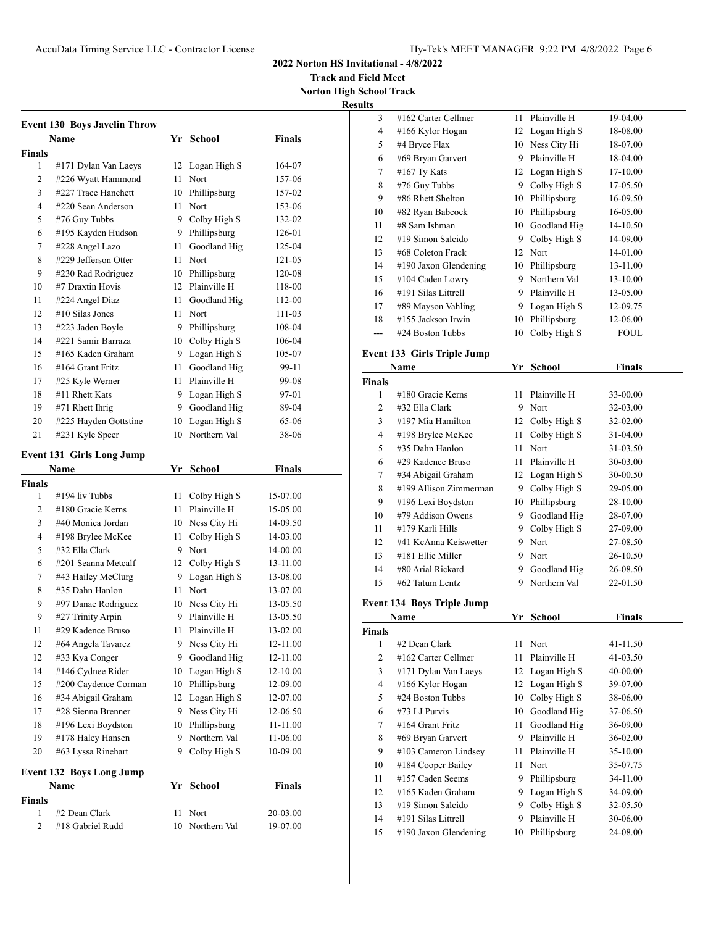**Track and Field Meet Norton High School Track**

**Results**

|              | <b>Event 130 Boys Javelin Throw</b><br>Name |      | Yr School                       | <b>Finals</b>    |
|--------------|---------------------------------------------|------|---------------------------------|------------------|
| Finals       |                                             |      |                                 |                  |
| 1            | #171 Dylan Van Laeys                        | 12   | Logan High S                    | 164-07           |
| 2            | #226 Wyatt Hammond                          | 11   | Nort                            | 157-06           |
| 3            | #227 Trace Hanchett                         |      | 10 Phillipsburg                 | 157-02           |
| 4            | #220 Sean Anderson                          | 11   | Nort                            | 153-06           |
| 5            | #76 Guy Tubbs                               |      | 9 Colby High S                  | 132-02           |
| 6            | #195 Kayden Hudson                          |      | 9 Phillipsburg                  | 126-01           |
| 7            | #228 Angel Lazo                             | 11   | Goodland Hig                    |                  |
| 8            | #229 Jefferson Otter                        | 11   | Nort                            | 125-04<br>121-05 |
| 9            | #230 Rad Rodriguez                          |      |                                 |                  |
|              |                                             |      | 10 Phillipsburg<br>Plainville H | 120-08           |
| 10<br>11     | #7 Draxtin Hovis                            | 12   |                                 | 118-00           |
|              | #224 Angel Diaz                             | 11   | Goodland Hig                    | 112-00           |
| 12           | #10 Silas Jones                             | 11   | Nort                            | 111-03           |
| 13           | #223 Jaden Boyle                            |      | 9 Phillipsburg                  | 108-04           |
| 14           | #221 Samir Barraza                          |      | 10 Colby High S                 | 106-04           |
| 15           | #165 Kaden Graham                           |      | 9 Logan High S                  | 105-07           |
| 16           | $#164$ Grant Fritz                          | 11 - | Goodland Hig                    | 99-11            |
| 17           | #25 Kyle Werner                             | 11 - | Plainville H                    | 99-08            |
| 18           | #11 Rhett Kats                              |      | 9 Logan High S                  | 97-01            |
| 19           | #71 Rhett Ihrig                             | 9.   | Goodland Hig                    | 89-04            |
| 20           | #225 Hayden Gottstine                       | 10   | Logan High S                    | 65-06            |
| 21           | #231 Kyle Speer                             | 10   | Northern Val                    | 38-06            |
|              | <b>Event 131 Girls Long Jump</b>            |      |                                 |                  |
|              | Name                                        |      | Yr School                       | <b>Finals</b>    |
| Finals       |                                             |      |                                 |                  |
| 1            | #194 liv Tubbs                              | 11   | Colby High S                    | 15-07.00         |
| 2            | #180 Gracie Kerns                           | 11   | Plainville H                    | 15-05.00         |
| 3            | #40 Monica Jordan                           |      | 10 Ness City Hi                 | 14-09.50         |
| 4            | #198 Brylee McKee                           | 11   | Colby High S                    | 14-03.00         |
| 5            | #32 Ella Clark                              |      | 9 Nort                          | 14-00.00         |
| 6            | #201 Seanna Metcalf                         |      | 12 Colby High S                 | 13-11.00         |
| 7            | #43 Hailey McClurg                          |      | 9 Logan High S                  | 13-08.00         |
| 8            | #35 Dahn Hanlon                             | 11   | Nort                            | 13-07.00         |
| 9            | #97 Danae Rodriguez                         |      | 10 Ness City Hi                 | 13-05.50         |
| 9            | #27 Trinity Arpin                           | 9    | Plainville H                    | 13-05.50         |
| 11           | #29 Kadence Bruso                           | 11   | Plainville H                    | 13-02.00         |
| 12           | #64 Angela Tavarez                          | 9    | Ness City Hi                    | 12-11.00         |
| 12           | #33 Kya Conger                              | 9    | Goodland Hig                    | 12-11.00         |
| 14           | #146 Cydnee Rider                           | 10   | Logan High S                    | 12-10.00         |
| 15           | #200 Caydence Corman                        | 10   | Phillipsburg                    | 12-09.00         |
| 16           | #34 Abigail Graham                          | 12   | Logan High S                    | 12-07.00         |
| 17           | #28 Sienna Brenner                          |      |                                 | 12-06.50         |
|              |                                             | 9    | Ness City Hi                    | 11-11.00         |
| 18           | #196 Lexi Boydston                          | 10   | Phillipsburg                    |                  |
| 19           | #178 Haley Hansen                           | 9    | Northern Val                    | 11-06.00         |
| 20           | #63 Lyssa Rinehart                          | 9    | Colby High S                    | 10-09.00         |
|              | <b>Event 132 Boys Long Jump</b>             |      |                                 |                  |
|              | Name                                        | Yr   | <u>School</u>                   | <b>Finals</b>    |
| Finals       |                                             |      |                                 |                  |
| 1            | #2 Dean Clark                               | 11   | Nort                            | 20-03.00         |
| $\mathbf{2}$ | #18 Gabriel Rudd                            | 10   | Northern Val                    | 19-07.00         |
|              |                                             |      |                                 |                  |

| э              |                          |    |              |             |
|----------------|--------------------------|----|--------------|-------------|
| 3              | #162 Carter Cellmer      | 11 | Plainville H | 19-04.00    |
| $\overline{4}$ | #166 Kylor Hogan         | 12 | Logan High S | 18-08.00    |
| 5              | #4 Bryce Flax            | 10 | Ness City Hi | 18-07.00    |
| 6              | #69 Bryan Garvert        | 9  | Plainville H | 18-04.00    |
| 7              | $#167$ Ty Kats           | 12 | Logan High S | 17-10.00    |
| 8              | #76 Guy Tubbs            | 9  | Colby High S | 17-05.50    |
| 9              | #86 Rhett Shelton        | 10 | Phillipsburg | 16-09.50    |
| 10             | #82 Ryan Babcock         | 10 | Phillipsburg | 16-05.00    |
| 11             | #8 Sam Ishman            | 10 | Goodland Hig | 14-10.50    |
| 12             | #19 Simon Salcido        | 9  | Colby High S | 14-09.00    |
| 13             | #68 Coleton Frack        | 12 | Nort         | 14-01.00    |
| 14             | $\#190$ Jaxon Glendening | 10 | Phillipsburg | 13-11.00    |
| 15             | #104 Caden Lowry         | 9  | Northern Val | 13-10.00    |
| 16             | #191 Silas Littrell      | 9  | Plainville H | 13-05.00    |
| 17             | #89 Mayson Vahling       | 9  | Logan High S | 12-09.75    |
| 18             | #155 Jackson Irwin       | 10 | Phillipsburg | 12-06.00    |
|                | #24 Boston Tubbs         | 10 | Colby High S | <b>FOUL</b> |
|                |                          |    |              |             |

## **Event 133 Girls Triple Jump**

|        | Name                   | Yr | <b>School</b>   | Finals   |  |
|--------|------------------------|----|-----------------|----------|--|
| Finals |                        |    |                 |          |  |
| 1      | #180 Gracie Kerns      | 11 | Plainville H    | 33-00.00 |  |
| 2      | #32 Ella Clark         | 9  | Nort            | 32-03.00 |  |
| 3      | #197 Mia Hamilton      |    | 12 Colby High S | 32-02.00 |  |
| 4      | #198 Brylee McKee      | 11 | Colby High S    | 31-04.00 |  |
| 5      | #35 Dahn Hanlon        | 11 | Nort            | 31-03.50 |  |
| 6      | #29 Kadence Bruso      | 11 | Plainville H    | 30-03.00 |  |
| 7      | #34 Abigail Graham     |    | 12 Logan High S | 30-00.50 |  |
| 8      | #199 Allison Zimmerman | 9  | Colby High S    | 29-05.00 |  |
| 9      | #196 Lexi Boydston     | 10 | Phillipsburg    | 28-10.00 |  |
| 10     | #79 Addison Owens      | 9  | Goodland Hig    | 28-07.00 |  |
| 11     | #179 Karli Hills       | 9  | Colby High S    | 27-09.00 |  |
| 12     | #41 KcAnna Keiswetter  | 9  | Nort            | 27-08.50 |  |
| 13     | #181 Ellie Miller      | 9  | Nort            | 26-10.50 |  |
| 14     | #80 Arial Rickard      | 9  | Goodland Hig    | 26-08.50 |  |
| 15     | #62 Tatum Lentz        | 9  | Northern Val    | 22-01.50 |  |

# **Event 134 Boys Triple Jump**

| Name   |                       | Yr | <b>School</b>   | <b>Finals</b> |  |
|--------|-----------------------|----|-----------------|---------------|--|
| Finals |                       |    |                 |               |  |
| 1      | #2 Dean Clark         | 11 | Nort            | 41-11.50      |  |
| 2      | #162 Carter Cellmer   | 11 | Plainville H    | 41-03.50      |  |
| 3      | #171 Dylan Van Laeys  |    | 12 Logan High S | 40-00.00      |  |
| 4      | #166 Kylor Hogan      | 12 | Logan High S    | 39-07.00      |  |
| 5      | #24 Boston Tubbs      | 10 | Colby High S    | 38-06.00      |  |
| 6      | #73 LJ Purvis         | 10 | Goodland Hig    | 37-06.50      |  |
| 7      | #164 Grant Fritz      | 11 | Goodland Hig    | 36-09.00      |  |
| 8      | #69 Bryan Garvert     | 9  | Plainville H    | 36-02.00      |  |
| 9      | #103 Cameron Lindsey  | 11 | Plainville H    | 35-10.00      |  |
| 10     | #184 Cooper Bailey    | 11 | Nort            | 35-07.75      |  |
| 11     | #157 Caden Seems      | 9  | Phillipsburg    | 34-11.00      |  |
| 12     | #165 Kaden Graham     | 9  | Logan High S    | 34-09.00      |  |
| 13     | #19 Simon Salcido     | 9  | Colby High S    | 32-05.50      |  |
| 14     | #191 Silas Littrell   | 9  | Plainville H    | 30-06.00      |  |
| 15     | #190 Jaxon Glendening | 10 | Phillipsburg    | 24-08.00      |  |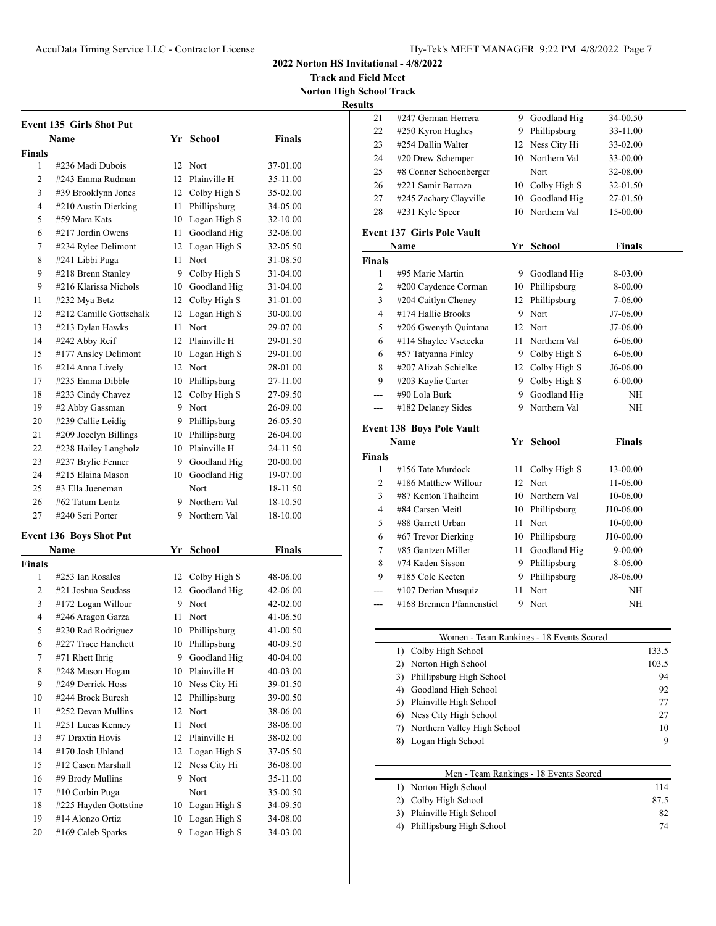**Track and Field Meet Norton High School Track**

**Results**

|                | Event 135 Girls Shot Put               |    |                                 |                      |
|----------------|----------------------------------------|----|---------------------------------|----------------------|
|                | Name                                   |    | Yr School                       | <b>Finals</b>        |
| Finals<br>1    | #236 Madi Dubois                       |    | 12 Nort                         |                      |
| 2              | #243 Emma Rudman                       |    | 12 Plainville H                 | 37-01.00<br>35-11.00 |
| 3              | #39 Brooklynn Jones                    |    | 12 Colby High S                 | 35-02.00             |
| $\overline{4}$ | #210 Austin Dierking                   |    | 11 Phillipsburg                 | 34-05.00             |
| 5              | #59 Mara Kats                          |    | 10 Logan High S                 | 32-10.00             |
| 6              | #217 Jordin Owens                      | 11 | Goodland Hig                    | 32-06.00             |
| 7              | #234 Rylee Delimont                    |    | 12 Logan High S                 | 32-05.50             |
| 8              | #241 Libbi Puga                        |    | 11 Nort                         | 31-08.50             |
| 9              | #218 Brenn Stanley                     |    | 9 Colby High S                  | 31-04.00             |
| 9              | #216 Klarissa Nichols                  |    | 10 Goodland Hig                 |                      |
| 11             | #232 Mya Betz                          |    | 12 Colby High S                 | 31-04.00<br>31-01.00 |
| 12             | #212 Camille Gottschalk                |    |                                 |                      |
|                |                                        |    | 12 Logan High S                 | 30-00.00             |
| 13<br>14       | #213 Dylan Hawks                       | 11 | Nort<br>12 Plainville H         | 29-07.00<br>29-01.50 |
| 15             | #242 Abby Reif<br>#177 Ansley Delimont |    |                                 | 29-01.00             |
| 16             | #214 Anna Lively                       |    | 10 Logan High S<br>12 Nort      | 28-01.00             |
| 17             | #235 Emma Dibble                       |    |                                 |                      |
|                |                                        |    | 10 Phillipsburg<br>Colby High S | 27-11.00             |
| 18             | #233 Cindy Chavez                      | 12 |                                 | 27-09.50             |
| 19             | #2 Abby Gassman                        | 9  | Nort<br>9 Phillipsburg          | 26-09.00<br>26-05.50 |
| 20             | #239 Callie Leidig                     |    |                                 |                      |
| 21             | #209 Jocelyn Billings                  |    | 10 Phillipsburg                 | 26-04.00             |
| 22             | #238 Hailey Langholz                   |    | 10 Plainville H                 | 24-11.50             |
| 23             | #237 Brylie Fenner                     |    | 9 Goodland Hig                  | 20-00.00             |
| 24             | #215 Elaina Mason                      |    | 10 Goodland Hig                 | 19-07.00             |
| 25             | #3 Ella Jueneman                       |    | Nort                            | 18-11.50             |
| 26             | #62 Tatum Lentz                        |    | 9 Northern Val                  | 18-10.50             |
| 27             | #240 Seri Porter                       |    | 9 Northern Val                  | 18-10.00             |
|                | Event 136 Boys Shot Put                |    |                                 |                      |
|                | Name                                   |    | Yr School                       | Finals               |
| Finals         |                                        |    |                                 |                      |
| 1              | #253 Ian Rosales                       | 12 | Colby High S                    | 48-06.00             |
| 2              | #21 Joshua Seudass                     | 12 | Goodland Hig                    | 42-06.00             |
| 3              | #172 Logan Willour                     | 9  | Nort                            | 42-02.00             |
| $\overline{4}$ | #246 Aragon Garza                      | 11 | Nort                            | 41-06.50             |
| 5              | #230 Rad Rodriguez                     | 10 | Phillipsburg                    | 41-00.50             |
| 6              | #227 Trace Hanchett                    | 10 | Phillipsburg                    | 40-09.50             |
| 7              | #71 Rhett Ihrig                        | 9  | Goodland Hig                    | 40-04.00             |
|                |                                        |    | Plainville H                    | 40-03.00             |
| 8              | #248 Mason Hogan                       | 10 |                                 |                      |
| 9              | #249 Derrick Hoss                      | 10 | Ness City Hi                    | 39-01.50             |
| 10             | #244 Brock Buresh                      | 12 | Phillipsburg                    | 39-00.50             |
| 11             | #252 Devan Mullins                     | 12 | Nort                            | 38-06.00             |
| 11             | #251 Lucas Kenney                      | 11 | Nort                            | 38-06.00             |
| 13             | #7 Draxtin Hovis                       | 12 | Plainville H                    | 38-02.00             |
| 14             | #170 Josh Uhland                       | 12 | Logan High S                    | 37-05.50             |
| 15             | #12 Casen Marshall                     | 12 | Ness City Hi                    | 36-08.00             |
| 16             | #9 Brody Mullins                       | 9  | Nort                            | 35-11.00             |
| 17             | #10 Corbin Puga                        |    | Nort                            | 35-00.50             |
| 18             | #225 Hayden Gottstine                  | 10 | Logan High S                    | 34-09.50             |
| 19             | #14 Alonzo Ortiz                       | 10 | Logan High S                    | 34-08.00             |

| 21             | #247 German Herrera               | 9. | Goodland Hig    | 34-00.50      |  |
|----------------|-----------------------------------|----|-----------------|---------------|--|
| 22             | #250 Kyron Hughes                 | 9. | Phillipsburg    | 33-11.00      |  |
| 23             | #254 Dallin Walter                | 12 | Ness City Hi    | 33-02.00      |  |
| 24             | #20 Drew Schemper                 | 10 | Northern Val    | 33-00.00      |  |
| 25             | #8 Conner Schoenberger            |    | Nort            | 32-08.00      |  |
| 26             | #221 Samir Barraza                | 10 | Colby High S    | 32-01.50      |  |
| 27             | #245 Zachary Clayville            | 10 | Goodland Hig    | 27-01.50      |  |
| 28             | #231 Kyle Speer                   | 10 | Northern Val    | 15-00.00      |  |
|                | <b>Event 137 Girls Pole Vault</b> |    |                 |               |  |
|                | Name                              |    | Yr School       | <b>Finals</b> |  |
| <b>Finals</b>  |                                   |    |                 |               |  |
| 1              | #95 Marie Martin                  |    | 9 Goodland Hig  | 8-03.00       |  |
| $\overline{c}$ | #200 Caydence Corman              | 10 | Phillipsburg    | 8-00.00       |  |
| 3              | #204 Caitlyn Cheney               |    | 12 Phillipsburg | 7-06.00       |  |
| $\overline{4}$ | #174 Hallie Brooks                |    | 9 Nort          | J7-06.00      |  |
| 5              | #206 Gwenyth Quintana             |    | 12 Nort         | J7-06.00      |  |
| 6              | #114 Shaylee Vsetecka             | 11 | Northern Val    | 6-06.00       |  |
| 6              | #57 Tatyanna Finley               |    | 9 Colby High S  | 6-06.00       |  |
| 8              | #207 Alizah Schielke              | 12 | Colby High S    | J6-06.00      |  |
| 9              | #203 Kaylie Carter                | 9  | Colby High S    | $6 - 00.00$   |  |
| ---            | #90 Lola Burk                     | 9. | Goodland Hig    | NH            |  |
| $---$          | #182 Delaney Sides                |    | 9 Northern Val  | NH            |  |
|                | <b>Event 138 Boys Pole Vault</b>  |    |                 |               |  |
|                | Name                              | Yr | <b>School</b>   | <b>Finals</b> |  |
| <b>Finals</b>  |                                   |    |                 |               |  |
| 1              | #156 Tate Murdock                 | 11 | Colby High S    | 13-00.00      |  |
| 2              | #186 Matthew Willour              |    | 12 Nort         | 11-06.00      |  |
| 3              | #87 Kenton Thalheim               |    | 10 Northern Val | 10-06.00      |  |
| $\overline{4}$ | #84 Carsen Meitl                  | 10 | Phillipsburg    | J10-06.00     |  |
| 5              | #88 Garrett Urban                 | 11 | Nort            | 10-00.00      |  |
| 6              | #67 Trevor Dierking               | 10 | Phillipsburg    | J10-00.00     |  |
| 7              | #85 Gantzen Miller                | 11 | Goodland Hig    | $9 - 00.00$   |  |
| 8              | #74 Kaden Sisson                  |    | 9 Phillipsburg  | 8-06.00       |  |
| 9              | #185 Cole Keeten                  |    | 9 Phillipsburg  | J8-06.00      |  |
|                | #107 Derian Musquiz               | 11 | Nort            | NH            |  |
| ---            | #168 Brennen Pfannenstiel         | 9  | Nort            | NH            |  |
|                |                                   |    |                 |               |  |
|                |                                   |    |                 |               |  |

|    | Women - Team Rankings - 18 Events Scored |       |
|----|------------------------------------------|-------|
|    | Colby High School                        | 133.5 |
|    | 2) Norton High School                    | 103.5 |
|    | 3) Phillipsburg High School              | 94    |
| 4) | Goodland High School                     | 92    |
|    | 5) Plainville High School                | 77    |
| 6) | Ness City High School                    | 27    |
|    | Northern Valley High School              | 10    |
|    | 8) Logan High School                     | Q     |

| Men - Team Rankings - 18 Events Scored |      |
|----------------------------------------|------|
| 1) Norton High School                  | 114  |
| Colby High School                      | 87.5 |
| 3) Plainville High School              | 82   |
| Phillipsburg High School               | 74   |